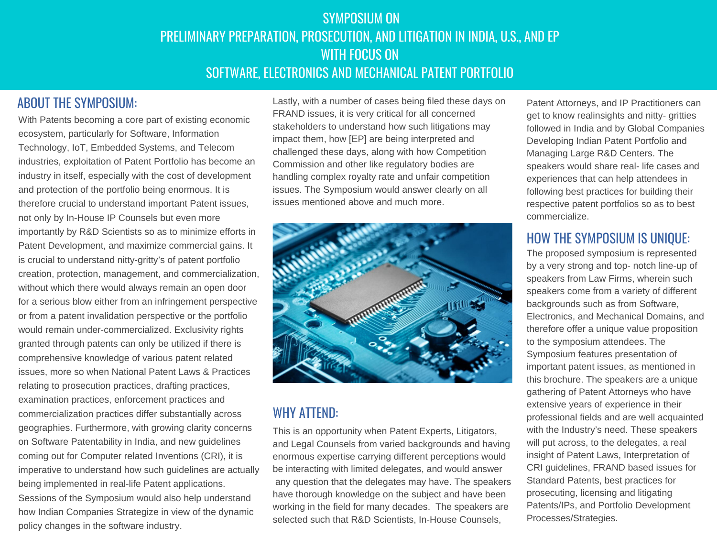# SYMPOSIUM ON PRELIMINARY PREPARATION, PROSECUTION, AND LITIGATION IN INDIA, U.S., AND EP WITH FOCUS ON SOFTWARE, ELECTRONICS AND MECHANICAL PATENT PORTFOLIO

#### ABOUT THE SYMPOSIUM:

MAYNARD COOPER & GALE:

With Patents becoming a core part of existing economic ecosystem, particularly for Software, Information Technology, IoT, Embedded Systems, and Telecom industries, exploitation of Patent Portfolio has become an industry in itself, especially with the cost of development and protection of the portfolio being enormous. It is therefore crucial to understand important Patent issues, not only by In-House IP Counsels but even more importantly by R&D Scientists so as to minimize efforts in Patent Development, and maximize commercial gains. It is crucial to understand nitty-gritty's of patent portfolio creation, protection, management, and commercialization, without which there would always remain an open door for a serious blow either from an infringement perspective or from a patent invalidation perspective or the portfolio would remain under-commercialized. Exclusivity rights granted through patents can only be utilized if there is comprehensive knowledge of various patent related issues, more so when National Patent Laws & Practices relating to prosecution practices, drafting practices, examination practices, enforcement practices and commercialization practices differ substantially across geographies. Furthermore, with growing clarity concerns on Software Patentability in India, and new guidelines coming out for Computer related Inventions (CRI), it is imperative to understand how such guidelines are actually being implemented in real-life Patent applications. Sessions of the Symposium would also help understand how Indian Companies Strategize in view of the dynamic policy changes in the software industry.

Lastly, with a number of cases being filed these days on FRAND issues, it is very critical for all concerned stakeholders to understand how such litigations may impact them, how [EP] are being interpreted and challenged these days, along with how Competition Commission and other like regulatory bodies are handling complex royalty rate and unfair competition issues. The Symposium would answer clearly on all issues mentioned above and much more.



#### WHY ATTEND:

This is an opportunity when Patent Experts, Litigators, and Legal Counsels from varied backgrounds and having enormous expertise carrying different perceptions would be interacting with limited delegates, and would answer any question that the delegates may have. The speakers have thorough knowledge on the subject and have been working in the field for many decades. The speakers are selected such that R&D Scientists, In-House Counsels,

Patent Attorneys, and IP Practitioners can get to know realinsights and nitty- gritties followed in India and by Global Companies Developing Indian Patent Portfolio and Managing Large R&D Centers. The speakers would share real- life cases and experiences that can help attendees in following best practices for building their respective patent portfolios so as to best commercialize.

#### HOW THE SYMPOSIUM IS UNIQUE:

The proposed symposium is represented by a very strong and top- notch line-up of speakers from Law Firms, wherein such speakers come from a variety of different backgrounds such as from Software, Electronics, and Mechanical Domains, and therefore offer a unique value proposition to the symposium attendees. The Symposium features presentation of important patent issues, as mentioned in this brochure. The speakers are a unique gathering of Patent Attorneys who have extensive years of experience in their professional fields and are well acquainted with the Industry's need. These speakers will put across, to the delegates, a real insight of Patent Laws, Interpretation of CRI guidelines, FRAND based issues for Standard Patents, best practices for prosecuting, licensing and litigating Patents/IPs, and Portfolio Development Processes/Strategies.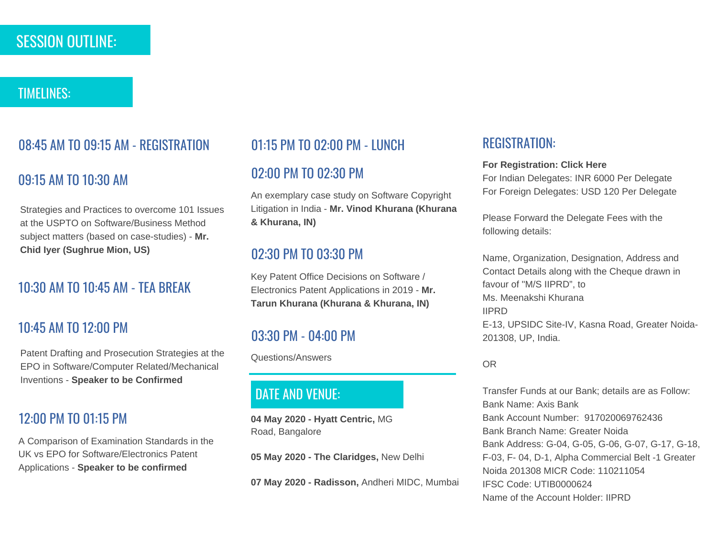# SESSION OUTLINE:

#### TIMELINES:

# 08:45 AM TO 09:15 AM - REGISTRATION

## 09:15 AM TO 10:30 AM

Strategies and Practices to overcome 101 Issues at the USPTO on Software/Business Method subject matters (based on case-studies) - **Mr. Chid Iyer (Sughrue Mion, US)**

## 10:30 AM TO 10:45 AM - TEA BREAK

#### 10:45 AM TO 12:00 PM

Patent Drafting and Prosecution Strategies at the EPO in Software/Computer Related/Mechanical Inventions - **Speaker to be Confirmed**

#### 12:00 PM TO 01:15 PM

A Comparison of Examination Standards in the UK vs EPO for Software/Electronics Patent Applications - **Speaker to be confirmed**

#### 01:15 PM TO 02:00 PM - LUNCH

#### 02:00 PM TO 02:30 PM

An exemplary case study on Software Copyright Litigation in India - **Mr. Vinod Khurana (Khurana & Khurana, IN)**

#### 02:30 PM TO 03:30 PM

Key Patent Office Decisions on Software / Electronics Patent Applications in 2019 - **Mr. Tarun Khurana (Khurana & Khurana, IN)**

## 03:30 PM - 04:00 PM

Questions/Answers

# DATE AND VENUE:

**04 May 2020 - Hyatt Centric,** MG Road, Bangalore

**05 May 2020 - The Claridges,** New Delhi

**07 May 2020 - Radisson,** Andheri MIDC, Mumbai

#### REGISTRATION:

#### **For Registration: Click Here**

For Indian Delegates: INR 6000 Per Delegate For Foreign Delegates: USD 120 Per Delegate

Please Forward the Delegate Fees with the following details:

Name, Organization, Designation, Address and Contact Details along with the Cheque drawn in favour of "M/S IIPRD", to Ms. Meenakshi Khurana IIPRD E-13, UPSIDC Site-IV, Kasna Road, Greater Noida-201308, UP, India.

#### OR

Transfer Funds at our Bank; details are as Follow: Bank Name: Axis Bank Bank Account Number: 917020069762436 Bank Branch Name: Greater Noida Bank Address: G-04, G-05, G-06, G-07, G-17, G-18, F-03, F- 04, D-1, Alpha Commercial Belt -1 Greater Noida 201308 MICR Code: 110211054 IFSC Code: UTIB0000624 Name of the Account Holder: IIPRD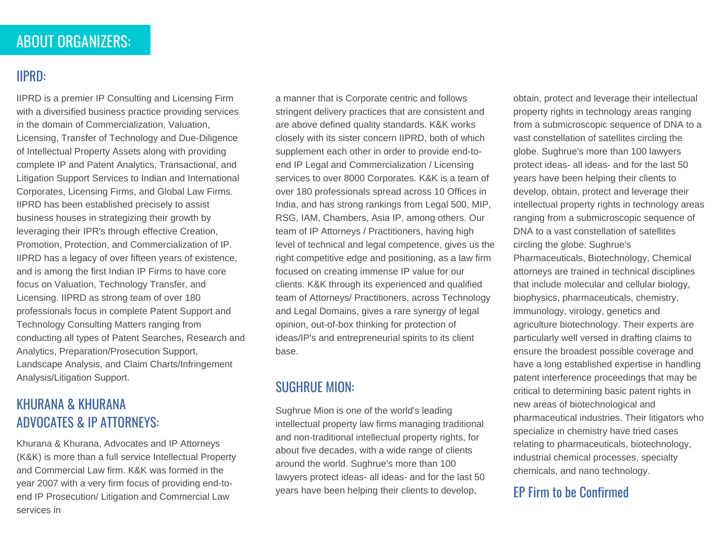# ABOUT ORGANIZERS:

# IIPRD:

IIPRD is a premier IP Consulting and Licensing Firm with a diversified business practice providing services in the domain of Commercialization, Valuation, Licensing, Transfer of Technology and Due-Diligence of Intellectual Property Assets along with providing complete IP and Patent Analytics, Transactional, and Litigation Support Services to Indian and International Corporates, Licensing Firms, and Global Law Firms. IIPRD has been established precisely to assist business houses in strategizing their growth by leveraging their IPR's through effective Creation, Promotion, Protection, and Commercialization of IP. IIPRD has a legacy of over fifteen years of existence, and is among the first Indian IP Firms to have core focus on Valuation, Technology Transfer, and Licensing. IIPRD as strong team of over 180 professionals focus in complete Patent Support and Technology Consulting Matters ranging from conducting all types of Patent Searches, Research and Analytics, Preparation/Prosecution Support, Landscape Analysis, and Claim Charts/Infringement Analysis/Litigation Support.

## KHURANA & KHURANA ADVOCATES & IP ATTORNEYS:

Khurana & Khurana, Advocates and IP Attorneys (K&K) is more than a full service Intellectual Property and Commercial Law firm. K&K was formed in the year 2007 with a very firm focus of providing end-toend IP Prosecution/ Litigation and Commercial Law services in

a manner that is Corporate centric and follows stringent delivery practices that are consistent and are above defined quality standards. K&K works closely with its sister concern IIPRD, both of which supplement each other in order to provide end-toend IP Legal and Commercialization / Licensing services to over 8000 Corporates. K&K is a team of over 180 professionals spread across 10 Offices in India, and has strong rankings from Legal 500, MIP, RSG, IAM, Chambers, Asia IP, among others. Our team of IP Attorneys / Practitioners, having high level of technical and legal competence, gives us the right competitive edge and positioning, as a law firm focused on creating immense IP value for our clients. K&K through its experienced and qualified team of Attorneys/ Practitioners, across Technology and Legal Domains, gives a rare synergy of legal opinion, out-of-box thinking for protection of ideas/IP's and entrepreneurial spirits to its client base.

# SUGHRUE MION:

Sughrue Mion is one of the world's leading intellectual property law firms managing traditional and non-traditional intellectual property rights, for about five decades, with a wide range of clients around the world. Sughrue's more than 100 lawyers protect ideas- all ideas- and for the last 50 years have been helping their clients to develop, **EP Firm to be Confirmed** 

obtain, protect and leverage their intellectual property rights in technology areas ranging from a submicroscopic sequence of DNA to a vast constellation of satellites circling the globe. Sughrue's more than 100 lawyers protect ideas- all ideas- and for the last 50 years have been helping their clients to develop, obtain, protect and leverage their intellectual property rights in technology areas ranging from a submicroscopic sequence of DNA to a vast constellation of satellites circling the globe. Sughrue's Pharmaceuticals, Biotechnology, Chemical attorneys are trained in technical disciplines that include molecular and cellular biology, biophysics, pharmaceuticals, chemistry, immunology, virology, genetics and agriculture biotechnology. Their experts are particularly well versed in drafting claims to ensure the broadest possible coverage and have a long established expertise in handling patent interference proceedings that may be critical to determining basic patent rights in new areas of biotechnological and pharmaceutical industries. Their litigators who specialize in chemistry have tried cases relating to pharmaceuticals, biotechnology, industrial chemical processes, specialty chemicals, and nano technology.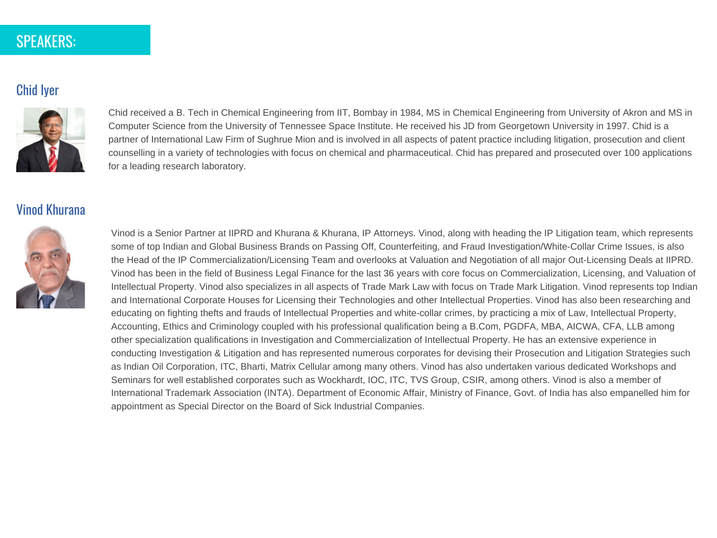# SPEAKERS:

#### Chid Iyer



Chid received a B. Tech in Chemical Engineering from IIT, Bombay in 1984, MS in Chemical Engineering from University of Akron and MS in Computer Science from the University of Tennessee Space Institute. He received his JD from Georgetown University in 1997. Chid is a partner of International Law Firm of Sughrue Mion and is involved in all aspects of patent practice including litigation, prosecution and client counselling in a variety of technologies with focus on chemical and pharmaceutical. Chid has prepared and prosecuted over 100 applications for a leading research laboratory.

#### Vinod Khurana



Vinod is a Senior Partner at IIPRD and Khurana & Khurana, IP Attorneys. Vinod, along with heading the IP Litigation team, which represents some of top Indian and Global Business Brands on Passing Off, Counterfeiting, and Fraud Investigation/White-Collar Crime Issues, is also the Head of the IP Commercialization/Licensing Team and overlooks at Valuation and Negotiation of all major Out-Licensing Deals at IIPRD. Vinod has been in the field of Business Legal Finance for the last 36 years with core focus on Commercialization, Licensing, and Valuation of Intellectual Property. Vinod also specializes in all aspects of Trade Mark Law with focus on Trade Mark Litigation. Vinod represents top Indian and International Corporate Houses for Licensing their Technologies and other Intellectual Properties. Vinod has also been researching and educating on fighting thefts and frauds of Intellectual Properties and white-collar crimes, by practicing a mix of Law, Intellectual Property, Accounting, Ethics and Criminology coupled with his professional qualification being a B.Com, PGDFA, MBA, AICWA, CFA, LLB among other specialization qualifications in Investigation and Commercialization of Intellectual Property. He has an extensive experience in conducting Investigation & Litigation and has represented numerous corporates for devising their Prosecution and Litigation Strategies such as Indian Oil Corporation, ITC, Bharti, Matrix Cellular among many others. Vinod has also undertaken various dedicated Workshops and Seminars for well established corporates such as Wockhardt, IOC, ITC, TVS Group, CSIR, among others. Vinod is also a member of International Trademark Association (INTA). Department of Economic Affair, Ministry of Finance, Govt. of India has also empanelled him for appointment as Special Director on the Board of Sick Industrial Companies.